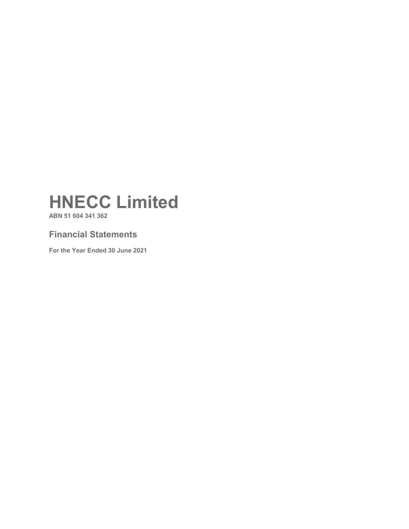**ABN 51 604 341 362**

### **Financial Statements**

**For the Year Ended 30 June 2021**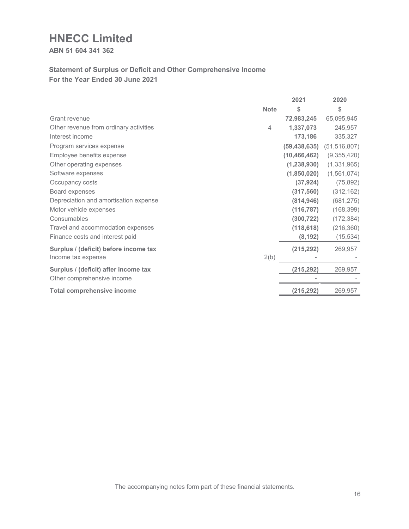**ABN 51 604 341 362**

### **Statement of Surplus or Deficit and Other Comprehensive Income For the Year Ended 30 June 2021**

|                                        |             | 2021           | 2020           |
|----------------------------------------|-------------|----------------|----------------|
|                                        | <b>Note</b> | \$             | \$             |
| Grant revenue                          |             | 72,983,245     | 65,095,945     |
| Other revenue from ordinary activities | 4           | 1,337,073      | 245,957        |
| Interest income                        |             | 173,186        | 335,327        |
| Program services expense               |             | (59, 438, 635) | (51, 516, 807) |
| Employee benefits expense              |             | (10, 466, 462) | (9,355,420)    |
| Other operating expenses               |             | (1, 238, 930)  | (1,331,965)    |
| Software expenses                      |             | (1,850,020)    | (1,561,074)    |
| Occupancy costs                        |             | (37, 924)      | (75, 892)      |
| Board expenses                         |             | (317, 560)     | (312, 162)     |
| Depreciation and amortisation expense  |             | (814, 946)     | (681, 275)     |
| Motor vehicle expenses                 |             | (116, 787)     | (168, 399)     |
| Consumables                            |             | (300, 722)     | (172, 384)     |
| Travel and accommodation expenses      |             | (118, 618)     | (216, 360)     |
| Finance costs and interest paid        |             | (8, 192)       | (15, 534)      |
| Surplus / (deficit) before income tax  |             | (215, 292)     | 269,957        |
| Income tax expense                     | 2(b)        |                |                |
| Surplus / (deficit) after income tax   |             | (215, 292)     | 269,957        |
| Other comprehensive income             |             |                |                |
| <b>Total comprehensive income</b>      |             | (215, 292)     | 269,957        |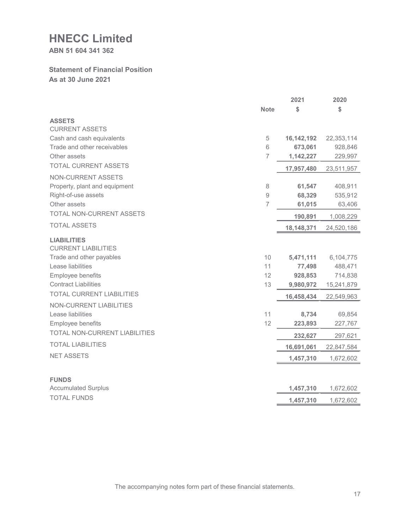**ABN 51 604 341 362**

#### **Statement of Financial Position As at 30 June 2021**

|                                                  |                     | 2021         | 2020       |
|--------------------------------------------------|---------------------|--------------|------------|
|                                                  | <b>Note</b>         | \$           | \$         |
| <b>ASSETS</b>                                    |                     |              |            |
| <b>CURRENT ASSETS</b>                            |                     |              |            |
| Cash and cash equivalents                        | 5                   | 16, 142, 192 | 22,353,114 |
| Trade and other receivables                      | 6                   | 673,061      | 928,846    |
| Other assets                                     | $\overline{7}$      | 1,142,227    | 229,997    |
| <b>TOTAL CURRENT ASSETS</b>                      |                     | 17,957,480   | 23,511,957 |
| NON-CURRENT ASSETS                               |                     |              |            |
| Property, plant and equipment                    | $\,8\,$             | 61,547       | 408,911    |
| Right-of-use assets                              | $\mathcal{G}% _{0}$ | 68,329       | 535,912    |
| Other assets                                     | $\overline{7}$      | 61,015       | 63,406     |
| TOTAL NON-CURRENT ASSETS                         |                     | 190,891      | 1,008,229  |
| <b>TOTAL ASSETS</b>                              |                     | 18,148,371   | 24,520,186 |
| <b>LIABILITIES</b><br><b>CURRENT LIABILITIES</b> |                     |              |            |
| Trade and other payables                         | 10                  | 5,471,111    | 6,104,775  |
| Lease liabilities                                | 11                  | 77,498       | 488,471    |
| Employee benefits                                | 12                  | 928,853      | 714,838    |
| <b>Contract Liabilities</b>                      | 13                  | 9,980,972    | 15,241,879 |
| <b>TOTAL CURRENT LIABILITIES</b>                 |                     | 16,458,434   | 22,549,963 |
| NON-CURRENT LIABILITIES                          |                     |              |            |
| Lease liabilities                                | 11                  | 8,734        | 69,854     |
| Employee benefits                                | 12                  | 223,893      | 227,767    |
| TOTAL NON-CURRENT LIABILITIES                    |                     | 232,627      | 297,621    |
| <b>TOTAL LIABILITIES</b>                         |                     | 16,691,061   | 22,847,584 |
| <b>NET ASSETS</b>                                |                     | 1,457,310    | 1,672,602  |
|                                                  |                     |              |            |
| <b>FUNDS</b><br><b>Accumulated Surplus</b>       |                     | 1,457,310    | 1,672,602  |
| <b>TOTAL FUNDS</b>                               |                     | 1,457,310    | 1,672,602  |
|                                                  |                     |              |            |

The accompanying notes form part of these financial statements.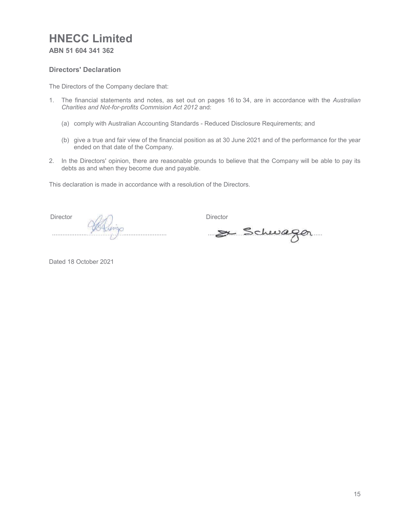**ABN 51 604 341 362**

#### **Directors' Declaration**

The Directors of the Company declare that:

- 1. The financial statements and notes, as set out on pages 16 to 34, are in accordance with the *Australian Charities and Not-for-profits Commision Act 2012* and:
	- (a) comply with Australian Accounting Standards Reduced Disclosure Requirements; and
	- (b) give a true and fair view of the financial position as at 30 June 2021 and of the performance for the year ended on that date of the Company.
- 2. In the Directors' opinion, there are reasonable grounds to believe that the Company will be able to pay its debts as and when they become due and payable.

This declaration is made in accordance with a resolution of the Directors.

**Director** ..................................................................

**Director** 

.................................................................. ...................... .........................................................

Dated 18 October 2021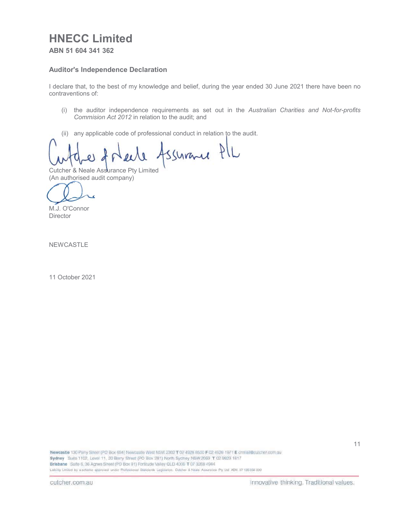**ABN 51 604 341 362**

#### **Auditor's Independence Declaration**

I declare that, to the best of my knowledge and belief, during the year ended 30 June 2021 there have been no contraventions of:

- (i) the auditor independence requirements as set out in the *Australian Charities and Not-for-profits Commision Act 2012* in relation to the audit; and
- (ii) any applicable code of professional conduct in relation to the audit.

Assurance PIL

Cutcher & Neale Assurance Pty Limited (An authorised audit company) (An authorised a

۷

M.J. O'Connor **Director** 

NEWCASTLE

11 October 2021

Newcastle 130 Parry Street (PO Box 694) Newcastle West NSW 2302 T 02 4928 8500 F 02 4926 1971 E crimal@culcher.com.au Sydney Suite 1102, Level 11, 20 Berry Street (PO Box 281) North Sydney NSW 2059 T 02 9923 1817 Brisbane Suite 6, 36 Agnes Street (PO Box 91) Fortifude Valley OLD 4006 T 07 3268 4944 Liability Limited by a scheme approved under Professional Staticards Legislation. Cutcher & Neale Assurance Pty Ltd ABN 37 126558 330

11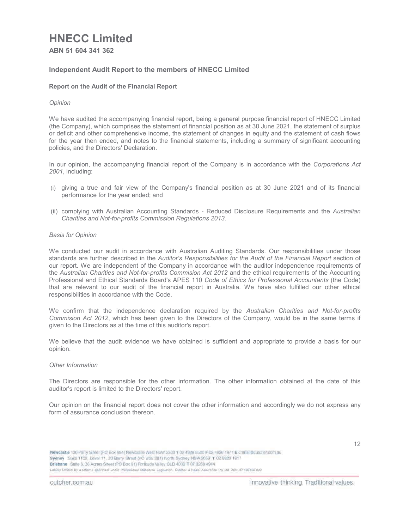**ABN 51 604 341 362**

#### **Independent Audit Report to the members of HNECC Limited**

#### **Report on the Audit of the Financial Report**

#### *Opinion*

We have audited the accompanying financial report, being a general purpose financial report of HNECC Limited (the Company), which comprises the statement of financial position as at 30 June 2021, the statement of surplus or deficit and other comprehensive income, the statement of changes in equity and the statement of cash flows for the year then ended, and notes to the financial statements, including a summary of significant accounting policies, and the Directors' Declaration.

In our opinion, the accompanying financial report of the Company is in accordance with the *Corporations Act 2001*, including:

- (i) giving a true and fair view of the Company's financial position as at 30 June 2021 and of its financial performance for the year ended; and
- (ii) complying with Australian Accounting Standards Reduced Disclosure Requirements and the *Australian Charities and Not-for-profits Commission Regulations 2013.*

#### *Basis for Opinion*

We conducted our audit in accordance with Australian Auditing Standards. Our responsibilities under those standards are further described in the *Auditor's Responsibilities for the Audit of the Financial Report* section of our report. We are independent of the Company in accordance with the auditor independence requirements of the *Australian Charities and Not-for-profits Commision Act 2012* and the ethical requirements of the Accounting Professional and Ethical Standards Board's APES 110 *Code of Ethics for Professional Accountants* (the Code) that are relevant to our audit of the financial report in Australia. We have also fulfilled our other ethical responsibilities in accordance with the Code.

We confirm that the independence declaration required by the *Australian Charities and Not-for-profits Commision Act 2012*, which has been given to the Directors of the Company, would be in the same terms if given to the Directors as at the time of this auditor's report.

We believe that the audit evidence we have obtained is sufficient and appropriate to provide a basis for our opinion.

#### *Other Information*

The Directors are responsible for the other information. The other information obtained at the date of this auditor's report is limited to the Directors' report.

Our opinion on the financial report does not cover the other information and accordingly we do not express any form of assurance conclusion thereon.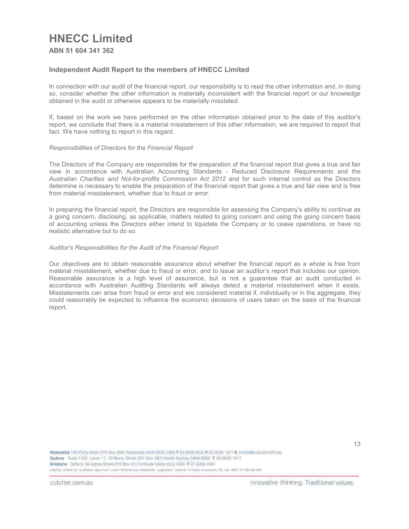**ABN 51 604 341 362**

#### **Independent Audit Report to the members of HNECC Limited**

In connection with our audit of the financial report, our responsibility is to read the other information and, in doing so, consider whether the other information is materially inconsistent with the financial report or our knowledge obtained in the audit or otherwise appears to be materially misstated.

If, based on the work we have performed on the other information obtained prior to the date of this auditor's report, we conclude that there is a material misstatement of this other information, we are required to report that fact. We have nothing to report in this regard.

#### *Responsibilities of Directors for the Financial Report*

The Directors of the Company are responsible for the preparation of the financial report that gives a true and fair view in accordance with Australian Accounting Standards - Reduced Disclosure Requirements and the *Australian Charities and Not-for-profits Commission Act 2012* and for such internal control as the Directors determine is necessary to enable the preparation of the financial report that gives a true and fair view and is free from material misstatement, whether due to fraud or error.

In preparing the financial report, the Directors are responsible for assessing the Company's ability to continue as a going concern, disclosing, as applicable, matters related to going concern and using the going concern basis of accounting unless the Directors either intend to liquidate the Company or to cease operations, or have no realistic alternative but to do so.

#### *Auditor's Responsibilities for the Audit of the Financial Report*

Our objectives are to obtain reasonable assurance about whether the financial report as a whole is free from material misstatement, whether due to fraud or error, and to issue an auditor's report that includes our opinion. Reasonable assurance is a high level of assurance, but is not a guarantee that an audit conducted in accordance with Australian Auditing Standards will always detect a material misstatement when it exists. Misstatements can arise from fraud or error and are considered material if, individually or in the aggregate, they could reasonably be expected to influence the economic decisions of users taken on the basis of the financial report.

Newcastle 130 Parry Street (PO Box 694) Newcastle West NSW 2302 T 02 4928 8500 F 02 4926 1971 E crimal/@cutcher.com.au Sydney State 1102, Level 11, 20 Berry Street (PO Box 281) North Sydney NSW 2059 T 02 9923 1817 Brisbane Suite 6, 36 Agnes Street (PO Box 91) Fortitude Valley OLD 4006 T 07 3268 4944 Liability Limited by a schame approved under Profussional Staticiards Legislation. Cutcher & Neale Assurance Pty Ltd ABN 37 126558 330

cutcher.com.au